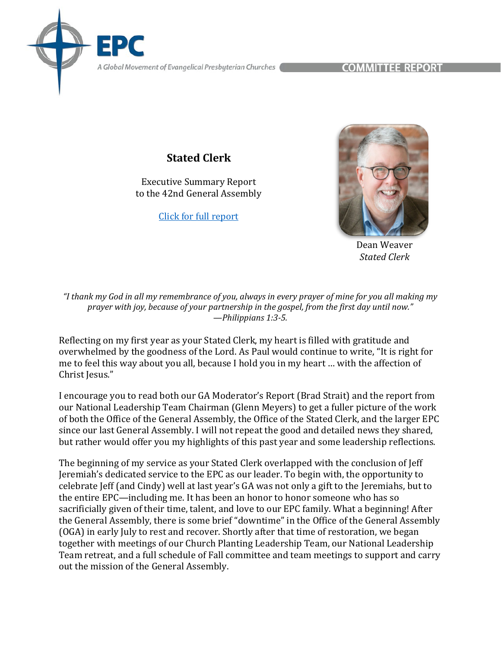A Global Movement of Evangelical Presbyterian Churches **COMMITTE: REPORT** 

## **Stated Clerk**

Executive Summary Report to the 42nd General Assembly

[Click for full report](https://epc.org/2022report-statedclerk/)



Dean Weaver *Stated Clerk*

*"I thank my God in all my remembrance of you, always in every prayer of mine for you all making my prayer with joy, because of your partnership in the gospel, from the first day until now." —Philippians 1:3-5.*

Reflecting on my first year as your Stated Clerk, my heart is filled with gratitude and overwhelmed by the goodness of the Lord. As Paul would continue to write, "It is right for me to feel this way about you all, because I hold you in my heart … with the affection of Christ Jesus."

I encourage you to read both our GA Moderator's Report (Brad Strait) and the report from our National Leadership Team Chairman (Glenn Meyers) to get a fuller picture of the work of both the Office of the General Assembly, the Office of the Stated Clerk, and the larger EPC since our last General Assembly. I will not repeat the good and detailed news they shared, but rather would offer you my highlights of this past year and some leadership reflections.

The beginning of my service as your Stated Clerk overlapped with the conclusion of Jeff Jeremiah's dedicated service to the EPC as our leader. To begin with, the opportunity to celebrate Jeff (and Cindy) well at last year's GA was not only a gift to the Jeremiahs, but to the entire EPC—including me. It has been an honor to honor someone who has so sacrificially given of their time, talent, and love to our EPC family. What a beginning! After the General Assembly, there is some brief "downtime" in the Office of the General Assembly (OGA) in early July to rest and recover. Shortly after that time of restoration, we began together with meetings of our Church Planting Leadership Team, our National Leadership Team retreat, and a full schedule of Fall committee and team meetings to support and carry out the mission of the General Assembly.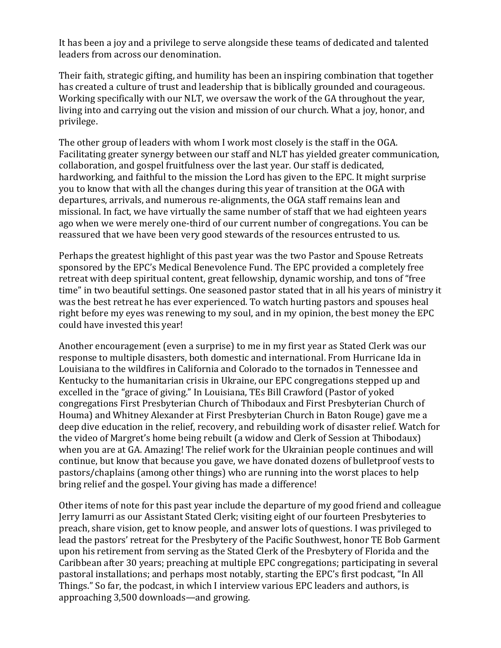It has been a joy and a privilege to serve alongside these teams of dedicated and talented leaders from across our denomination.

Their faith, strategic gifting, and humility has been an inspiring combination that together has created a culture of trust and leadership that is biblically grounded and courageous. Working specifically with our NLT, we oversaw the work of the GA throughout the year, living into and carrying out the vision and mission of our church. What a joy, honor, and privilege.

The other group of leaders with whom I work most closely is the staff in the OGA. Facilitating greater synergy between our staff and NLT has yielded greater communication, collaboration, and gospel fruitfulness over the last year. Our staff is dedicated, hardworking, and faithful to the mission the Lord has given to the EPC. It might surprise you to know that with all the changes during this year of transition at the OGA with departures, arrivals, and numerous re-alignments, the OGA staff remains lean and missional. In fact, we have virtually the same number of staff that we had eighteen years ago when we were merely one-third of our current number of congregations. You can be reassured that we have been very good stewards of the resources entrusted to us.

Perhaps the greatest highlight of this past year was the two Pastor and Spouse Retreats sponsored by the EPC's Medical Benevolence Fund. The EPC provided a completely free retreat with deep spiritual content, great fellowship, dynamic worship, and tons of "free time" in two beautiful settings. One seasoned pastor stated that in all his years of ministry it was the best retreat he has ever experienced. To watch hurting pastors and spouses heal right before my eyes was renewing to my soul, and in my opinion, the best money the EPC could have invested this year!

Another encouragement (even a surprise) to me in my first year as Stated Clerk was our response to multiple disasters, both domestic and international. From Hurricane Ida in Louisiana to the wildfires in California and Colorado to the tornados in Tennessee and Kentucky to the humanitarian crisis in Ukraine, our EPC congregations stepped up and excelled in the "grace of giving." In Louisiana, TEs Bill Crawford (Pastor of yoked congregations First Presbyterian Church of Thibodaux and First Presbyterian Church of Houma) and Whitney Alexander at First Presbyterian Church in Baton Rouge) gave me a deep dive education in the relief, recovery, and rebuilding work of disaster relief. Watch for the video of Margret's home being rebuilt (a widow and Clerk of Session at Thibodaux) when you are at GA. Amazing! The relief work for the Ukrainian people continues and will continue, but know that because you gave, we have donated dozens of bulletproof vests to pastors/chaplains (among other things) who are running into the worst places to help bring relief and the gospel. Your giving has made a difference!

Other items of note for this past year include the departure of my good friend and colleague Jerry Iamurri as our Assistant Stated Clerk; visiting eight of our fourteen Presbyteries to preach, share vision, get to know people, and answer lots of questions. I was privileged to lead the pastors' retreat for the Presbytery of the Pacific Southwest, honor TE Bob Garment upon his retirement from serving as the Stated Clerk of the Presbytery of Florida and the Caribbean after 30 years; preaching at multiple EPC congregations; participating in several pastoral installations; and perhaps most notably, starting the EPC's first podcast, "In All Things." So far, the podcast, in which I interview various EPC leaders and authors, is approaching 3,500 downloads—and growing.